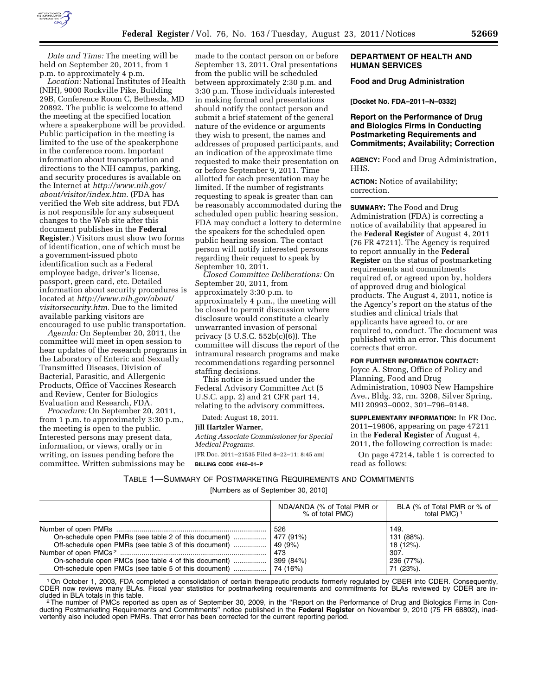

*Date and Time:* The meeting will be held on September 20, 2011, from 1 p.m. to approximately 4 p.m.

*Location:* National Institutes of Health (NIH), 9000 Rockville Pike, Building 29B, Conference Room C, Bethesda, MD 20892. The public is welcome to attend the meeting at the specified location where a speakerphone will be provided. Public participation in the meeting is limited to the use of the speakerphone in the conference room. Important information about transportation and directions to the NIH campus, parking, and security procedures is available on the Internet at *[http://www.nih.gov/](http://www.nih.gov/about/visitor/index.htm)  [about/visitor/index.htm.](http://www.nih.gov/about/visitor/index.htm)* (FDA has verified the Web site address, but FDA is not responsible for any subsequent changes to the Web site after this document publishes in the **Federal Register**.) Visitors must show two forms of identification, one of which must be a government-issued photo identification such as a Federal employee badge, driver's license, passport, green card, etc. Detailed information about security procedures is located at *[http://www.nih.gov/about/](http://www.nih.gov/about/visitorsecurity.htm)  [visitorsecurity.htm.](http://www.nih.gov/about/visitorsecurity.htm)* Due to the limited available parking visitors are encouraged to use public transportation.

*Agenda:* On September 20, 2011, the committee will meet in open session to hear updates of the research programs in the Laboratory of Enteric and Sexually Transmitted Diseases, Division of Bacterial, Parasitic, and Allergenic Products, Office of Vaccines Research and Review, Center for Biologics Evaluation and Research, FDA.

*Procedure:* On September 20, 2011, from 1 p.m. to approximately 3:30 p.m., the meeting is open to the public. Interested persons may present data, information, or views, orally or in writing, on issues pending before the committee. Written submissions may be

made to the contact person on or before September 13, 2011. Oral presentations from the public will be scheduled between approximately 2:30 p.m. and 3:30 p.m. Those individuals interested in making formal oral presentations should notify the contact person and submit a brief statement of the general nature of the evidence or arguments they wish to present, the names and addresses of proposed participants, and an indication of the approximate time requested to make their presentation on or before September 9, 2011. Time allotted for each presentation may be limited. If the number of registrants requesting to speak is greater than can be reasonably accommodated during the scheduled open public hearing session, FDA may conduct a lottery to determine the speakers for the scheduled open public hearing session. The contact person will notify interested persons regarding their request to speak by September 10, 2011.

*Closed Committee Deliberations:* On September 20, 2011, from approximately 3:30 p.m. to approximately 4 p.m., the meeting will be closed to permit discussion where disclosure would constitute a clearly unwarranted invasion of personal privacy (5 U.S.C. 552b(c)(6)). The committee will discuss the report of the intramural research programs and make recommendations regarding personnel staffing decisions.

This notice is issued under the Federal Advisory Committee Act (5 U.S.C. app. 2) and 21 CFR part 14, relating to the advisory committees.

Dated: August 18, 2011.

#### **Jill Hartzler Warner,**

*Acting Associate Commissioner for Special Medical Programs.* 

[FR Doc. 2011–21535 Filed 8–22–11; 8:45 am] **BILLING CODE 4160–01–P** 

### **DEPARTMENT OF HEALTH AND HUMAN SERVICES**

### **Food and Drug Administration**

**[Docket No. FDA–2011–N–0332]** 

### **Report on the Performance of Drug and Biologics Firms in Conducting Postmarketing Requirements and Commitments; Availability; Correction**

**AGENCY:** Food and Drug Administration, HHS.

**ACTION:** Notice of availability; correction.

**SUMMARY:** The Food and Drug Administration (FDA) is correcting a notice of availability that appeared in the **Federal Register** of August 4, 2011 (76 FR 47211). The Agency is required to report annually in the **Federal Register** on the status of postmarketing requirements and commitments required of, or agreed upon by, holders of approved drug and biological products. The August 4, 2011, notice is the Agency's report on the status of the studies and clinical trials that applicants have agreed to, or are required to, conduct. The document was published with an error. This document corrects that error.

#### **FOR FURTHER INFORMATION CONTACT:**

Joyce A. Strong, Office of Policy and Planning, Food and Drug Administration, 10903 New Hampshire Ave., Bldg. 32, rm. 3208, Silver Spring, MD 20993–0002, 301–796–9148.

### **SUPPLEMENTARY INFORMATION:** In FR Doc. 2011–19806, appearing on page 47211 in the **Federal Register** of August 4, 2011, the following correction is made:

On page 47214, table 1 is corrected to read as follows:

TABLE 1—SUMMARY OF POSTMARKETING REQUIREMENTS AND COMMITMENTS

[Numbers as of September 30, 2010]

|                                                                                                                                                                                    | NDA/ANDA (% of Total PMR or<br>% of total PMC) | BLA (% of Total PMR or % of<br>total PMC) <sup>1</sup>             |
|------------------------------------------------------------------------------------------------------------------------------------------------------------------------------------|------------------------------------------------|--------------------------------------------------------------------|
| On-schedule open PMRs (see table 2 of this document)    477 (91%)<br>Off-schedule open PMRs (see table 3 of this document)<br>On-schedule open PMCs (see table 4 of this document) | 526<br>  49 (9%)<br>473<br>399 (84%)           | 149.<br>131 (88%).<br>18 (12%).<br>307.<br>236 (77%).<br>71 (23%). |

1On October 1, 2003, FDA completed a consolidation of certain therapeutic products formerly regulated by CBER into CDER. Consequently, CDER now reviews many BLAs. Fiscal year statistics for postmarketing requirements and commitments for BLAs reviewed by CDER are in-<br>cluded in BLA totals in this table.

The number of PMCs reported as open as of September 30, 2009, in the "Report on the Performance of Drug and Biologics Firms in Conducting Postmarketing Requirements and Commitments'' notice published in the **Federal Register** on November 9, 2010 (75 FR 68802), inadvertently also included open PMRs. That error has been corrected for the current reporting period.